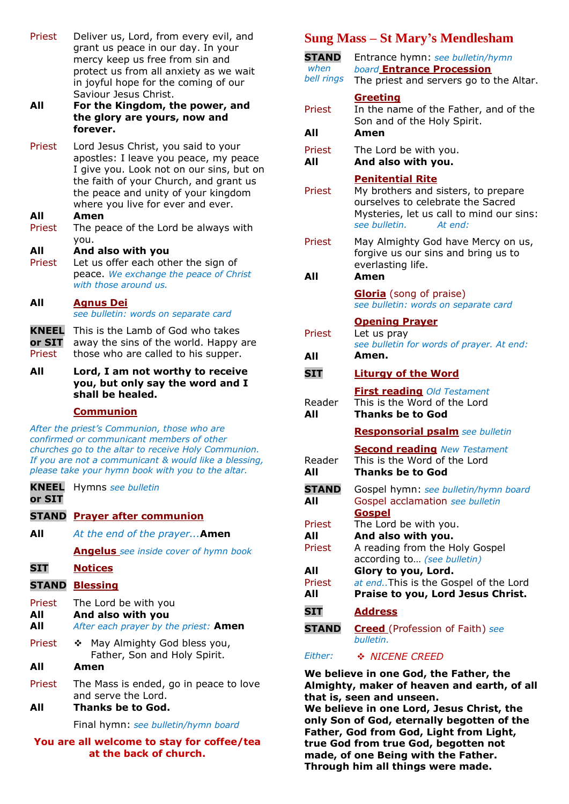| Priest | Deliver us, Lord, from every evil, and |
|--------|----------------------------------------|
|        | grant us peace in our day. In your     |
|        | mercy keep us free from sin and        |
|        | protect us from all anxiety as we wait |
|        | in joyful hope for the coming of our   |
|        | Saviour Jesus Christ.                  |

**All For the Kingdom, the power, and the glory are yours, now and forever.**

Priest Lord Jesus Christ, you said to your apostles: I leave you peace, my peace I give you. Look not on our sins, but on the faith of your Church, and grant us the peace and unity of your kingdom where you live for ever and ever.

#### **All Amen**

- Priest The peace of the Lord be always with you.
- **All** Priest **And also with you** Let us offer each other the sign of peace. *We exchange the peace of Christ with those around us.*

| All | <b>Agnus Dei</b>                     |  |  |  |
|-----|--------------------------------------|--|--|--|
|     | see bulletin: words on separate card |  |  |  |
|     |                                      |  |  |  |

- **KNEEL**  This is the Lamb of God who takes **or SIT** away the sins of the world. Happy are Priest those who are called to his supper.
- **All Lord, I am not worthy to receive you, but only say the word and I shall be healed.**

### **Communion**

*After the priest's Communion, those who are confirmed or communicant members of other churches go to the altar to receive Holy Communion. If you are not a communicant & would like a blessing, please take your hymn book with you to the altar.*

| <b>KNEEL</b><br>or SIT | Hymns see bulletin                                                                 |
|------------------------|------------------------------------------------------------------------------------|
|                        | <b>STAND</b> Prayer after communion                                                |
| All                    | At the end of the prayer <b>Amen</b>                                               |
|                        | <b>Angelus</b> see inside cover of hymn book                                       |
| <b>SIT</b>             | <b>Notices</b>                                                                     |
|                        | <b>STAND Blessing</b>                                                              |
| Priest<br>All<br>All   | The Lord be with you<br>And also with you<br>After each prayer by the priest: Amen |
| Priest                 | May Almighty God bless you,<br>豪心<br>Father, Son and Holy Spirit.                  |
| All                    | Amen                                                                               |
| Priest                 | The Mass is ended, go in peace to love<br>and serve the Lord.                      |
| All                    | Thanks be to God.                                                                  |
|                        | Final hymn: see bulletin/hymn board                                                |

**You are all welcome to stay for coffee/tea at the back of church.**

# **Sung Mass – St Mary's Mendlesham**

| <b>STAND</b><br>when<br>bell rings | Entrance hymn: see bulletin/hymn<br><b>board Entrance Procession</b><br>The priest and servers go to the Altar.                                                             |
|------------------------------------|-----------------------------------------------------------------------------------------------------------------------------------------------------------------------------|
| Priest<br>All                      | <b>Greeting</b><br>In the name of the Father, and of the<br>Son and of the Holy Spirit.<br>Amen                                                                             |
| Priest<br>All                      | The Lord be with you.<br>And also with you.                                                                                                                                 |
| Priest                             | <b>Penitential Rite</b><br>My brothers and sisters, to prepare<br>ourselves to celebrate the Sacred<br>Mysteries, let us call to mind our sins:<br>see bulletin.<br>At end: |
| Priest<br>All                      | May Almighty God have Mercy on us,<br>forgive us our sins and bring us to<br>everlasting life.<br>Amen                                                                      |
|                                    | <b>Gloria</b> (song of praise)<br>see bulletin: words on separate card                                                                                                      |
| Priest                             | <b>Opening Prayer</b><br>Let us pray<br>see bulletin for words of prayer. At end:                                                                                           |
| All                                | Amen.                                                                                                                                                                       |
|                                    |                                                                                                                                                                             |
| <b>SIT</b>                         | <b>Liturgy of the Word</b>                                                                                                                                                  |
| Reader<br>All                      | <b>First reading Old Testament</b><br>This is the Word of the Lord<br><b>Thanks be to God</b>                                                                               |
|                                    | <b>Responsorial psalm</b> see bulletin                                                                                                                                      |
| Reader<br><b>All</b>               | <b>Second reading New Testament</b><br>This is the Word of the Lord<br><b>Thanks be to God</b>                                                                              |
| <b>STAND</b><br>All                | Gospel hymn: see bulletin/hymn board<br>Gospel acclamation see bulletin                                                                                                     |
| Priest<br>All<br>Priest            | <b>Gospel</b><br>The Lord be with you.<br>And also with you.<br>A reading from the Holy Gospel                                                                              |
| All<br>Priest<br>All               | according to (see bulletin)<br>Glory to you, Lord.<br>at end. This is the Gospel of the Lord<br>Praise to you, Lord Jesus Christ.                                           |
| <b>SIT</b>                         | <b>Address</b>                                                                                                                                                              |
| <b>STAND</b>                       | <b>Creed</b> (Profession of Faith) see<br>bulletin.                                                                                                                         |

*Either:* ❖ *NICENE CREED*

**We believe in one God, the Father, the Almighty, maker of heaven and earth, of all that is, seen and unseen.**

**We believe in one Lord, Jesus Christ, the only Son of God, eternally begotten of the Father, God from God, Light from Light, true God from true God, begotten not made, of one Being with the Father. Through him all things were made.**